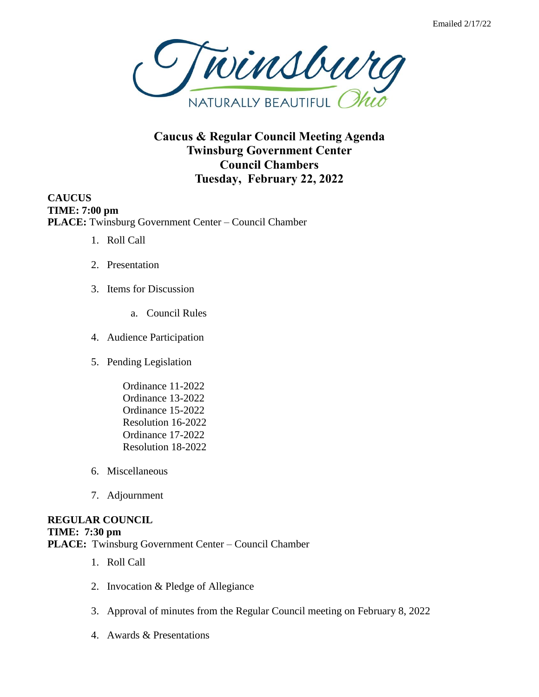

**Caucus & Regular Council Meeting Agenda Twinsburg Government Center Council Chambers Tuesday, February 22, 2022**

**CAUCUS TIME: 7:00 pm PLACE:** Twinsburg Government Center – Council Chamber

- 1. Roll Call
- 2. Presentation
- 3. Items for Discussion
	- a. Council Rules
- 4. Audience Participation
- 5. Pending Legislation
	- Ordinance 11-2022 Ordinance 13-2022 Ordinance 15-2022 Resolution 16-2022 Ordinance 17-2022 Resolution 18-2022
- 6. Miscellaneous
- 7. Adjournment

## **REGULAR COUNCIL TIME: 7:30 pm PLACE:** Twinsburg Government Center – Council Chamber

- 1. Roll Call
- 2. Invocation & Pledge of Allegiance
- 3. Approval of minutes from the Regular Council meeting on February 8, 2022
- 4. Awards & Presentations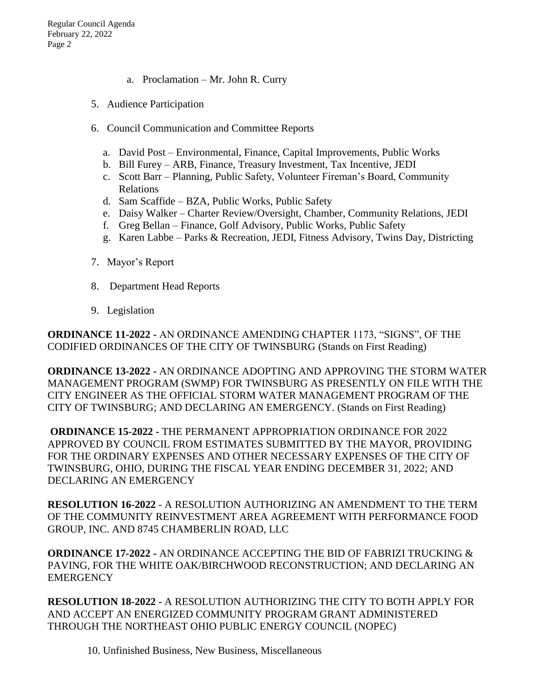- a. Proclamation Mr. John R. Curry
- 5. Audience Participation
- 6. Council Communication and Committee Reports
	- a. David Post Environmental, Finance, Capital Improvements, Public Works
	- b. Bill Furey ARB, Finance, Treasury Investment, Tax Incentive, JEDI
	- c. Scott Barr Planning, Public Safety, Volunteer Fireman's Board, Community Relations
	- d. Sam Scaffide BZA, Public Works, Public Safety
	- e. Daisy Walker Charter Review/Oversight, Chamber, Community Relations, JEDI
	- f. Greg Bellan Finance, Golf Advisory, Public Works, Public Safety
	- g. Karen Labbe Parks & Recreation, JEDI, Fitness Advisory, Twins Day, Districting
- 7. Mayor's Report
- 8. Department Head Reports
- 9. Legislation

**ORDINANCE 11-2022 -** AN ORDINANCE AMENDING CHAPTER 1173, "SIGNS", OF THE CODIFIED ORDINANCES OF THE CITY OF TWINSBURG (Stands on First Reading)

**ORDINANCE 13-2022 -** AN ORDINANCE ADOPTING AND APPROVING THE STORM WATER MANAGEMENT PROGRAM (SWMP) FOR TWINSBURG AS PRESENTLY ON FILE WITH THE CITY ENGINEER AS THE OFFICIAL STORM WATER MANAGEMENT PROGRAM OF THE CITY OF TWINSBURG; AND DECLARING AN EMERGENCY. (Stands on First Reading)

**ORDINANCE 15-2022 -** THE PERMANENT APPROPRIATION ORDINANCE FOR 2022 APPROVED BY COUNCIL FROM ESTIMATES SUBMITTED BY THE MAYOR, PROVIDING FOR THE ORDINARY EXPENSES AND OTHER NECESSARY EXPENSES OF THE CITY OF TWINSBURG, OHIO, DURING THE FISCAL YEAR ENDING DECEMBER 31, 2022; AND DECLARING AN EMERGENCY

**RESOLUTION 16-2022** - A RESOLUTION AUTHORIZING AN AMENDMENT TO THE TERM OF THE COMMUNITY REINVESTMENT AREA AGREEMENT WITH PERFORMANCE FOOD GROUP, INC. AND 8745 CHAMBERLIN ROAD, LLC

**ORDINANCE 17-2022 -** AN ORDINANCE ACCEPTING THE BID OF FABRIZI TRUCKING & PAVING, FOR THE WHITE OAK/BIRCHWOOD RECONSTRUCTION; AND DECLARING AN **EMERGENCY** 

**RESOLUTION 18-2022 -** A RESOLUTION AUTHORIZING THE CITY TO BOTH APPLY FOR AND ACCEPT AN ENERGIZED COMMUNITY PROGRAM GRANT ADMINISTERED THROUGH THE NORTHEAST OHIO PUBLIC ENERGY COUNCIL (NOPEC)

10. Unfinished Business, New Business, Miscellaneous